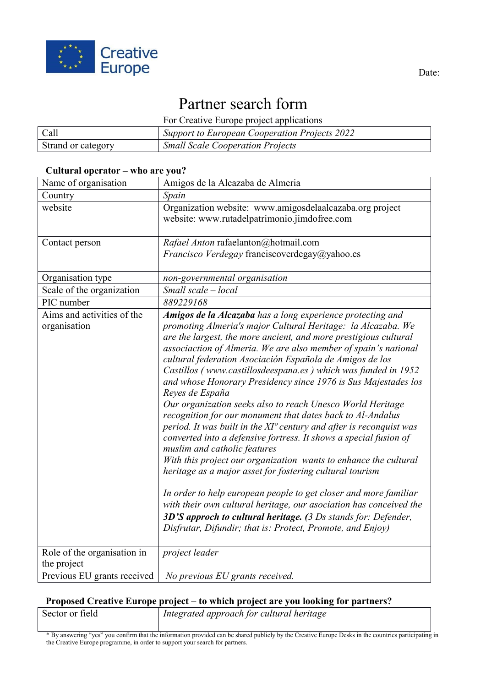

# Partner search form

For Creative Europe project applications

| Call               | Support to European Cooperation Projects 2022 |
|--------------------|-----------------------------------------------|
| Strand or category | <b>Small Scale Cooperation Projects</b>       |

#### **Cultural operator – who are you?**

| Name of organisation                       | Amigos de la Alcazaba de Almeria                                                                                                                                                                                                                                                                                                                                                                                                                                                                                                                                                                                                                                                                                                                                                                                                                                                                                                                                                                                                                                                                                                                                                                      |
|--------------------------------------------|-------------------------------------------------------------------------------------------------------------------------------------------------------------------------------------------------------------------------------------------------------------------------------------------------------------------------------------------------------------------------------------------------------------------------------------------------------------------------------------------------------------------------------------------------------------------------------------------------------------------------------------------------------------------------------------------------------------------------------------------------------------------------------------------------------------------------------------------------------------------------------------------------------------------------------------------------------------------------------------------------------------------------------------------------------------------------------------------------------------------------------------------------------------------------------------------------------|
| Country                                    | Spain                                                                                                                                                                                                                                                                                                                                                                                                                                                                                                                                                                                                                                                                                                                                                                                                                                                                                                                                                                                                                                                                                                                                                                                                 |
| website                                    | Organization website: www.amigosdelaalcazaba.org project<br>website: www.rutadelpatrimonio.jimdofree.com                                                                                                                                                                                                                                                                                                                                                                                                                                                                                                                                                                                                                                                                                                                                                                                                                                                                                                                                                                                                                                                                                              |
| Contact person                             | Rafael Anton rafaelanton@hotmail.com<br>Francisco Verdegay franciscoverdegay@yahoo.es                                                                                                                                                                                                                                                                                                                                                                                                                                                                                                                                                                                                                                                                                                                                                                                                                                                                                                                                                                                                                                                                                                                 |
| Organisation type                          | non-governmental organisation                                                                                                                                                                                                                                                                                                                                                                                                                                                                                                                                                                                                                                                                                                                                                                                                                                                                                                                                                                                                                                                                                                                                                                         |
| Scale of the organization                  | Small scale - local                                                                                                                                                                                                                                                                                                                                                                                                                                                                                                                                                                                                                                                                                                                                                                                                                                                                                                                                                                                                                                                                                                                                                                                   |
| PIC number                                 | 889229168                                                                                                                                                                                                                                                                                                                                                                                                                                                                                                                                                                                                                                                                                                                                                                                                                                                                                                                                                                                                                                                                                                                                                                                             |
| Aims and activities of the<br>organisation | Amigos de la Alcazaba has a long experience protecting and<br>promoting Almeria's major Cultural Heritage: la Alcazaba. We<br>are the largest, the more ancient, and more prestigious cultural<br>associaction of Almeria. We are also member of spain's national<br>cultural federation Asociación Española de Amigos de los<br>Castillos (www.castillosdeespana.es) which was funded in 1952<br>and whose Honorary Presidency since 1976 is Sus Majestades los<br>Reyes de España<br>Our organization seeks also to reach Unesco World Heritage<br>recognition for our monument that dates back to Al-Andalus<br>period. It was built in the XI° century and after is reconquist was<br>converted into a defensive fortress. It shows a special fusion of<br>muslim and catholic features<br>With this project our organization wants to enhance the cultural<br>heritage as a major asset for fostering cultural tourism<br>In order to help european people to get closer and more familiar<br>with their own cultural heritage, our asociation has conceived the<br>3D'S approch to cultural heritage. (3 Ds stands for: Defender,<br>Disfrutar, Difundir; that is: Protect, Promote, and Enjoy) |
| Role of the organisation in<br>the project | project leader                                                                                                                                                                                                                                                                                                                                                                                                                                                                                                                                                                                                                                                                                                                                                                                                                                                                                                                                                                                                                                                                                                                                                                                        |
| Previous EU grants received                | No previous EU grants received.                                                                                                                                                                                                                                                                                                                                                                                                                                                                                                                                                                                                                                                                                                                                                                                                                                                                                                                                                                                                                                                                                                                                                                       |

## **Proposed Creative Europe project – to which project are you looking for partners?**

| Sector or field | Integrated approach for cultural heritage |
|-----------------|-------------------------------------------|
|                 |                                           |

\* By answering "yes" you confirm that the information provided can be shared publicly by the Creative Europe Desks in the countries participating in the Creative Europe programme, in order to support your search for partners.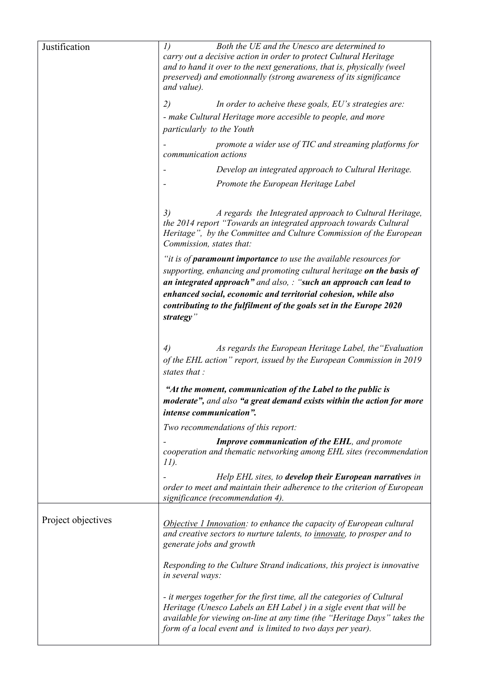| Justification      | I)<br>Both the UE and the Unesco are determined to<br>carry out a decisive action in order to protect Cultural Heritage<br>and to hand it over to the next generations, that is, physically (weel<br>preserved) and emotionnally (strong awareness of its significance<br>and value).                                                                                       |
|--------------------|-----------------------------------------------------------------------------------------------------------------------------------------------------------------------------------------------------------------------------------------------------------------------------------------------------------------------------------------------------------------------------|
|                    | 2)<br>In order to acheive these goals, EU's strategies are:                                                                                                                                                                                                                                                                                                                 |
|                    | - make Cultural Heritage more accesible to people, and more                                                                                                                                                                                                                                                                                                                 |
|                    | particularly to the Youth                                                                                                                                                                                                                                                                                                                                                   |
|                    | promote a wider use of TIC and streaming platforms for<br>communication actions                                                                                                                                                                                                                                                                                             |
|                    | Develop an integrated approach to Cultural Heritage.                                                                                                                                                                                                                                                                                                                        |
|                    | Promote the European Heritage Label                                                                                                                                                                                                                                                                                                                                         |
|                    | 3)<br>A regards the Integrated approach to Cultural Heritage,<br>the 2014 report "Towards an integrated approach towards Cultural<br>Heritage", by the Committee and Culture Commission of the European<br>Commission, states that:                                                                                                                                         |
|                    | "it is of <b>paramount importance</b> to use the available resources for<br>supporting, enhancing and promoting cultural heritage on the basis of<br>an integrated approach" and also, : "such an approach can lead to<br>enhanced social, economic and territorial cohesion, while also<br>contributing to the fulfilment of the goals set in the Europe 2020<br>strategy" |
|                    | As regards the European Heritage Label, the "Evaluation"<br>4)<br>of the EHL action" report, issued by the European Commission in 2019<br>states that:                                                                                                                                                                                                                      |
|                    | "At the moment, communication of the Label to the public is<br>moderate", and also "a great demand exists within the action for more<br>intense communication".                                                                                                                                                                                                             |
|                    | Two recommendations of this report:                                                                                                                                                                                                                                                                                                                                         |
|                    | <b>Improve communication of the EHL</b> , and promote<br>cooperation and thematic networking among EHL sites (recommendation<br>11).                                                                                                                                                                                                                                        |
|                    | Help EHL sites, to develop their European narratives in<br>order to meet and maintain their adherence to the criterion of European<br>significance (recommendation 4).                                                                                                                                                                                                      |
| Project objectives | Objective 1 Innovation: to enhance the capacity of European cultural<br>and creative sectors to nurture talents, to <i>innovate</i> , to prosper and to<br>generate jobs and growth                                                                                                                                                                                         |
|                    | Responding to the Culture Strand indications, this project is innovative<br>in several ways:                                                                                                                                                                                                                                                                                |
|                    | - it merges together for the first time, all the categories of Cultural<br>Heritage (Unesco Labels an EH Label) in a sigle event that will be<br>available for viewing on-line at any time (the "Heritage Days" takes the<br>form of a local event and is limited to two days per year).                                                                                    |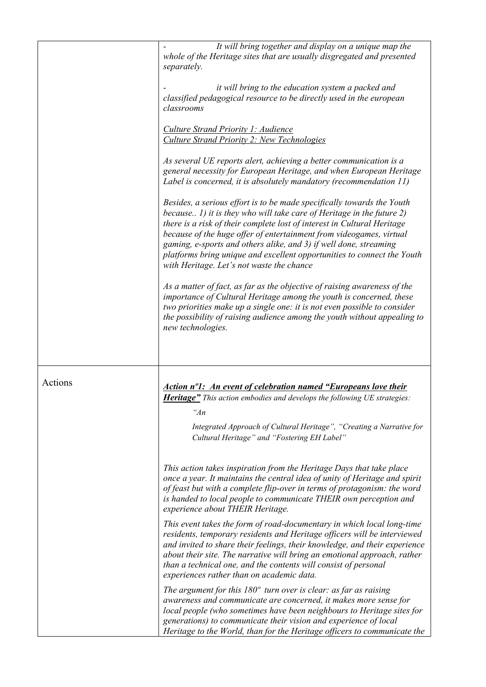|         | It will bring together and display on a unique map the<br>whole of the Heritage sites that are usually disgregated and presented<br>separately.                                                                                                                                                                                                                                                                                                                                                      |
|---------|------------------------------------------------------------------------------------------------------------------------------------------------------------------------------------------------------------------------------------------------------------------------------------------------------------------------------------------------------------------------------------------------------------------------------------------------------------------------------------------------------|
|         | it will bring to the education system a packed and<br>classified pedagogical resource to be directly used in the european<br>classrooms                                                                                                                                                                                                                                                                                                                                                              |
|         | Culture Strand Priority 1: Audience<br><b>Culture Strand Priority 2: New Technologies</b>                                                                                                                                                                                                                                                                                                                                                                                                            |
|         | As several UE reports alert, achieving a better communication is a<br>general necessity for European Heritage, and when European Heritage<br>Label is concerned, it is absolutely mandatory (recommendation 11)                                                                                                                                                                                                                                                                                      |
|         | Besides, a serious effort is to be made specifically towards the Youth<br>because $I$ ) it is they who will take care of Heritage in the future $2$ )<br>there is a risk of their complete lost of interest in Cultural Heritage<br>because of the huge offer of entertainment from videogames, virtual<br>gaming, e-sports and others alike, and 3) if well done, streaming<br>platforms bring unique and excellent opportunities to connect the Youth<br>with Heritage. Let's not waste the chance |
|         | As a matter of fact, as far as the objective of raising awareness of the<br>importance of Cultural Heritage among the youth is concerned, these<br>two priorities make up a single one: it is not even possible to consider<br>the possibility of raising audience among the youth without appealing to<br>new technologies.                                                                                                                                                                         |
|         |                                                                                                                                                                                                                                                                                                                                                                                                                                                                                                      |
| Actions | Action nº1: An event of celebration named "Europeans love their                                                                                                                                                                                                                                                                                                                                                                                                                                      |
|         | <b>Heritage"</b> This action embodies and develops the following UE strategies:                                                                                                                                                                                                                                                                                                                                                                                                                      |
|         | " $An$                                                                                                                                                                                                                                                                                                                                                                                                                                                                                               |
|         | Integrated Approach of Cultural Heritage", "Creating a Narrative for<br>Cultural Heritage" and "Fostering EH Label"                                                                                                                                                                                                                                                                                                                                                                                  |
|         | This action takes inspiration from the Heritage Days that take place<br>once a year. It maintains the central idea of unity of Heritage and spirit<br>of feast but with a complete flip-over in terms of protagonism: the word<br>is handed to local people to communicate THEIR own perception and<br>experience about THEIR Heritage.                                                                                                                                                              |
|         | This event takes the form of road-documentary in which local long-time<br>residents, temporary residents and Heritage officers will be interviewed<br>and invited to share their feelings, their knowledge, and their experience<br>about their site. The narrative will bring an emotional approach, rather<br>than a technical one, and the contents will consist of personal<br>experiences rather than on academic data.                                                                         |
|         | The argument for this $180^\circ$ turn over is clear: as far as raising<br>awareness and communicate are concerned, it makes more sense for<br>local people (who sometimes have been neighbours to Heritage sites for<br>generations) to communicate their vision and experience of local<br>Heritage to the World, than for the Heritage officers to communicate the                                                                                                                                |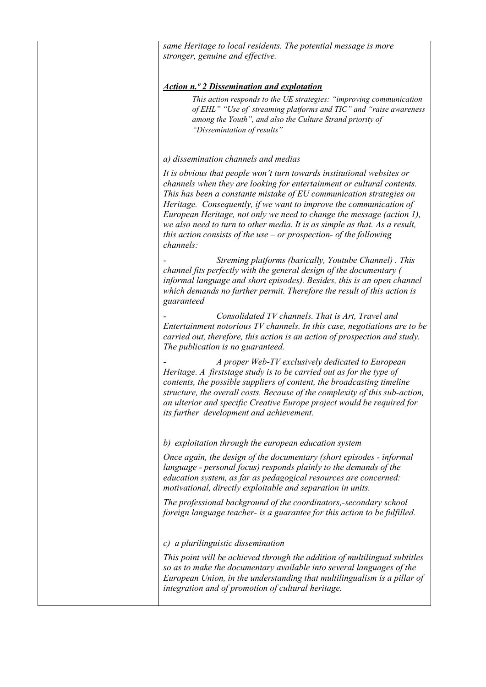*same Heritage to local residents. The potential message is more stronger, genuine and effective.* 

#### *Action n.º 2 Dissemination and explotation*

*This action responds to the UE strategies: "improving communication of EHL" "Use of streaming platforms and TIC" and "raise awareness among the Youth", and also the Culture Strand priority of "Dissemintation of results"*

#### *a) dissemination channels and medias*

*It is obvious that people won't turn towards institutional websites or channels when they are looking for entertainment or cultural contents. This has been a constante mistake of EU communication strategies on Heritage. Consequently, if we want to improve the communication of European Heritage, not only we need to change the message (action 1), we also need to turn to other media. It is as simple as that. As a result, this action consists of the use – or prospection- of the following channels:* 

*- Streming platforms (basically, Youtube Channel) . This channel fits perfectly with the general design of the documentary ( informal language and short episodes). Besides, this is an open channel which demands no further permit. Therefore the result of this action is guaranteed* 

*- Consolidated TV channels. That is Art, Travel and Entertainment notorious TV channels. In this case, negotiations are to be carried out, therefore, this action is an action of prospection and study. The publication is no guaranteed.* 

*- A proper Web-TV exclusively dedicated to European Heritage. A firststage study is to be carried out as for the type of contents, the possible suppliers of content, the broadcasting timeline structure, the overall costs. Because of the complexity of this sub-action, an ulterior and specific Creative Europe project would be required for its further development and achievement.* 

*b) exploitation through the european education system* 

*Once again, the design of the documentary (short episodes - informal language - personal focus) responds plainly to the demands of the education system, as far as pedagogical resources are concerned: motivational, directly exploitable and separation in units.* 

*The professional background of the coordinators,-secondary school foreign language teacher- is a guarantee for this action to be fulfilled.* 

*c) a plurilinguistic dissemination* 

*This point will be achieved through the addition of multilingual subtitles so as to make the documentary available into several languages of the European Union, in the understanding that multilingualism is a pillar of integration and of promotion of cultural heritage.*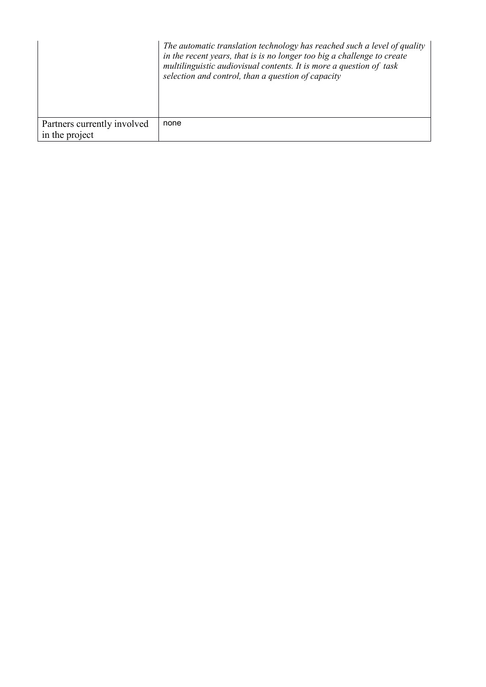|                             | The automatic translation technology has reached such a level of quality<br>in the recent years, that is is no longer too big a challenge to create<br>multilinguistic audiovisual contents. It is more a question of task<br>selection and control, than a question of capacity |
|-----------------------------|----------------------------------------------------------------------------------------------------------------------------------------------------------------------------------------------------------------------------------------------------------------------------------|
| Partners currently involved | none                                                                                                                                                                                                                                                                             |
| in the project              |                                                                                                                                                                                                                                                                                  |